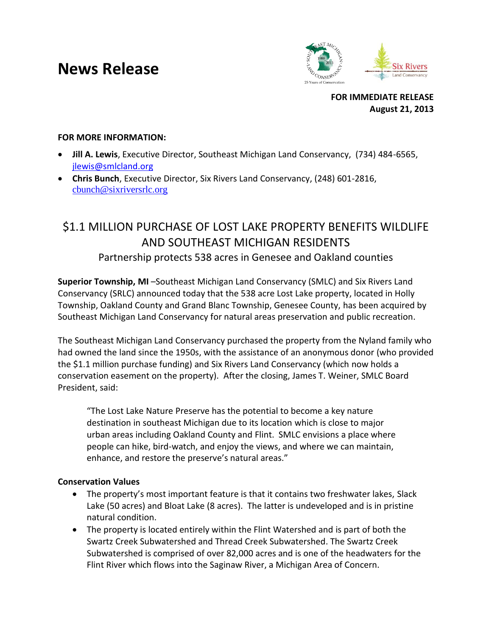# **News Release**



**FOR IMMEDIATE RELEASE August 21, 2013**

### **FOR MORE INFORMATION:**

- **Jill A. Lewis**, Executive Director, Southeast Michigan Land Conservancy, (734) 484-6565, [jlewis@smlcland.org](mailto:jlewis@smlcland.org)
- **Chris Bunch**, Executive Director, Six Rivers Land Conservancy, (248) 601-2816, [cbunch@sixriversrlc.org](mailto:cbunch@sixriversrlc.org)

# \$1.1 MILLION PURCHASE OF LOST LAKE PROPERTY BENEFITS WILDLIFE AND SOUTHEAST MICHIGAN RESIDENTS Partnership protects 538 acres in Genesee and Oakland counties

**Superior Township, MI** –Southeast Michigan Land Conservancy (SMLC) and Six Rivers Land Conservancy (SRLC) announced today that the 538 acre Lost Lake property, located in Holly Township, Oakland County and Grand Blanc Township, Genesee County, has been acquired by Southeast Michigan Land Conservancy for natural areas preservation and public recreation.

The Southeast Michigan Land Conservancy purchased the property from the Nyland family who had owned the land since the 1950s, with the assistance of an anonymous donor (who provided the \$1.1 million purchase funding) and Six Rivers Land Conservancy (which now holds a conservation easement on the property). After the closing, James T. Weiner, SMLC Board President, said:

"The Lost Lake Nature Preserve has the potential to become a key nature destination in southeast Michigan due to its location which is close to major urban areas including Oakland County and Flint. SMLC envisions a place where people can hike, bird-watch, and enjoy the views, and where we can maintain, enhance, and restore the preserve's natural areas."

#### **Conservation Values**

- The property's most important feature is that it contains two freshwater lakes, Slack Lake (50 acres) and Bloat Lake (8 acres). The latter is undeveloped and is in pristine natural condition.
- The property is located entirely within the Flint Watershed and is part of both the Swartz Creek Subwatershed and Thread Creek Subwatershed. The Swartz Creek Subwatershed is comprised of over 82,000 acres and is one of the headwaters for the Flint River which flows into the Saginaw River, a Michigan Area of Concern.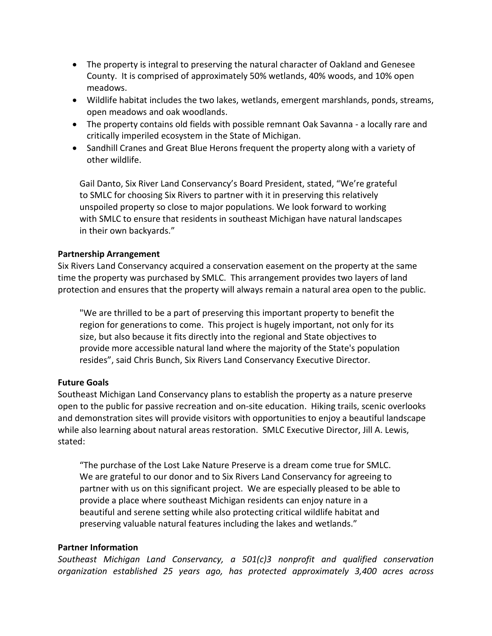- The property is integral to preserving the natural character of Oakland and Genesee County. It is comprised of approximately 50% wetlands, 40% woods, and 10% open meadows.
- Wildlife habitat includes the two lakes, wetlands, emergent marshlands, ponds, streams, open meadows and oak woodlands.
- The property contains old fields with possible remnant Oak Savanna a locally rare and critically imperiled ecosystem in the State of Michigan.
- Sandhill Cranes and Great Blue Herons frequent the property along with a variety of other wildlife.

Gail Danto, Six River Land Conservancy's Board President, stated, "We're grateful to SMLC for choosing Six Rivers to partner with it in preserving this relatively unspoiled property so close to major populations. We look forward to working with SMLC to ensure that residents in southeast Michigan have natural landscapes in their own backyards."

#### **Partnership Arrangement**

Six Rivers Land Conservancy acquired a conservation easement on the property at the same time the property was purchased by SMLC. This arrangement provides two layers of land protection and ensures that the property will always remain a natural area open to the public.

"We are thrilled to be a part of preserving this important property to benefit the region for generations to come. This project is hugely important, not only for its size, but also because it fits directly into the regional and State objectives to provide more accessible natural land where the majority of the State's population resides", said Chris Bunch, Six Rivers Land Conservancy Executive Director.

## **Future Goals**

Southeast Michigan Land Conservancy plans to establish the property as a nature preserve open to the public for passive recreation and on-site education. Hiking trails, scenic overlooks and demonstration sites will provide visitors with opportunities to enjoy a beautiful landscape while also learning about natural areas restoration. SMLC Executive Director, Jill A. Lewis, stated:

"The purchase of the Lost Lake Nature Preserve is a dream come true for SMLC. We are grateful to our donor and to Six Rivers Land Conservancy for agreeing to partner with us on this significant project. We are especially pleased to be able to provide a place where southeast Michigan residents can enjoy nature in a beautiful and serene setting while also protecting critical wildlife habitat and preserving valuable natural features including the lakes and wetlands."

#### **Partner Information**

*Southeast Michigan Land Conservancy, a 501(c)3 nonprofit and qualified conservation organization established 25 years ago, has protected approximately 3,400 acres across*